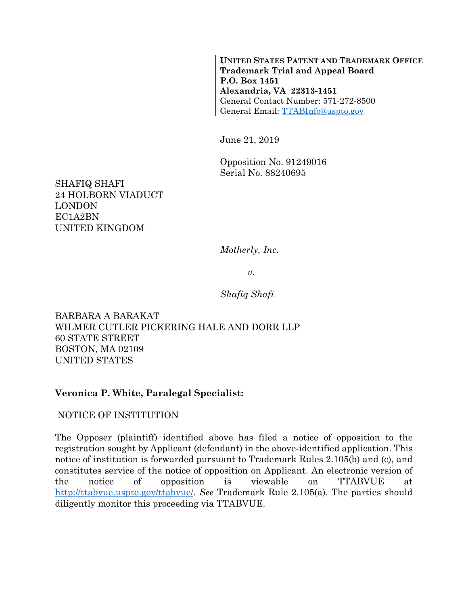**UNITED STATES PATENT AND TRADEMARK OFFICE Trademark Trial and Appeal Board P.O. Box 1451 Alexandria, VA 22313-1451**  General Contact Number: 571-272-8500 General Email: TTABInfo@uspto.gov

June 21, 2019

Opposition No. 91249016 Serial No. 88240695

SHAFIQ SHAFI 24 HOLBORN VIADUCT LONDON EC1A2BN UNITED KINGDOM

*Motherly, Inc.* 

*v.* 

*Shafiq Shafi* 

BARBARA A BARAKAT WILMER CUTLER PICKERING HALE AND DORR LLP 60 STATE STREET BOSTON, MA 02109 UNITED STATES

### **Veronica P. White, Paralegal Specialist:**

NOTICE OF INSTITUTION

The Opposer (plaintiff) identified above has filed a notice of opposition to the registration sought by Applicant (defendant) in the above-identified application. This notice of institution is forwarded pursuant to Trademark Rules 2.105(b) and (c), and constitutes service of the notice of opposition on Applicant. An electronic version of the notice of opposition is viewable on TTABVUE at http://ttabvue.uspto.gov/ttabvue/. *See* Trademark Rule 2.105(a). The parties should diligently monitor this proceeding via TTABVUE.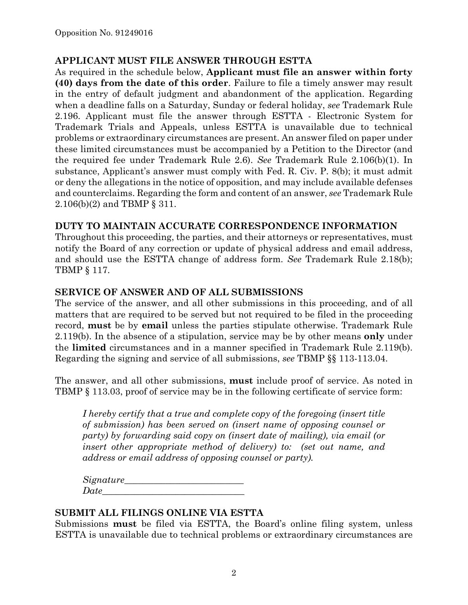## **APPLICANT MUST FILE ANSWER THROUGH ESTTA**

As required in the schedule below, **Applicant must file an answer within forty (40) days from the date of this order**. Failure to file a timely answer may result in the entry of default judgment and abandonment of the application. Regarding when a deadline falls on a Saturday, Sunday or federal holiday, *see* Trademark Rule 2.196. Applicant must file the answer through ESTTA - Electronic System for Trademark Trials and Appeals, unless ESTTA is unavailable due to technical problems or extraordinary circumstances are present. An answer filed on paper under these limited circumstances must be accompanied by a Petition to the Director (and the required fee under Trademark Rule 2.6). *See* Trademark Rule 2.106(b)(1). In substance, Applicant's answer must comply with Fed. R. Civ. P. 8(b); it must admit or deny the allegations in the notice of opposition, and may include available defenses and counterclaims. Regarding the form and content of an answer, *see* Trademark Rule 2.106(b)(2) and TBMP § 311.

## **DUTY TO MAINTAIN ACCURATE CORRESPONDENCE INFORMATION**

Throughout this proceeding, the parties, and their attorneys or representatives, must notify the Board of any correction or update of physical address and email address, and should use the ESTTA change of address form. *See* Trademark Rule 2.18(b); TBMP § 117.

### **SERVICE OF ANSWER AND OF ALL SUBMISSIONS**

The service of the answer, and all other submissions in this proceeding, and of all matters that are required to be served but not required to be filed in the proceeding record, **must** be by **email** unless the parties stipulate otherwise. Trademark Rule 2.119(b). In the absence of a stipulation, service may be by other means **only** under the **limited** circumstances and in a manner specified in Trademark Rule 2.119(b). Regarding the signing and service of all submissions, *see* TBMP §§ 113-113.04.

The answer, and all other submissions, **must** include proof of service. As noted in TBMP § 113.03, proof of service may be in the following certificate of service form:

*I hereby certify that a true and complete copy of the foregoing (insert title of submission) has been served on (insert name of opposing counsel or party) by forwarding said copy on (insert date of mailing), via email (or insert other appropriate method of delivery) to: (set out name, and address or email address of opposing counsel or party).* 

*Signature\_\_\_\_\_\_\_\_\_\_\_\_\_\_\_\_\_\_\_\_\_\_\_\_\_\_*   $Date$ 

### **SUBMIT ALL FILINGS ONLINE VIA ESTTA**

Submissions **must** be filed via ESTTA, the Board's online filing system, unless ESTTA is unavailable due to technical problems or extraordinary circumstances are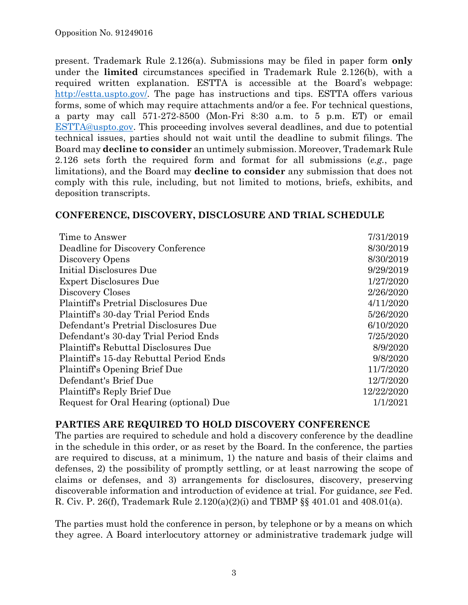present. Trademark Rule 2.126(a). Submissions may be filed in paper form **only** under the **limited** circumstances specified in Trademark Rule 2.126(b), with a required written explanation. ESTTA is accessible at the Board's webpage: http://estta.uspto.gov/. The page has instructions and tips. ESTTA offers various forms, some of which may require attachments and/or a fee. For technical questions, a party may call 571-272-8500 (Mon-Fri 8:30 a.m. to 5 p.m. ET) or email ESTTA@uspto.gov. This proceeding involves several deadlines, and due to potential technical issues, parties should not wait until the deadline to submit filings. The Board may **decline to consider** an untimely submission. Moreover, Trademark Rule 2.126 sets forth the required form and format for all submissions (*e.g.*, page limitations), and the Board may **decline to consider** any submission that does not comply with this rule, including, but not limited to motions, briefs, exhibits, and deposition transcripts.

#### **CONFERENCE, DISCOVERY, DISCLOSURE AND TRIAL SCHEDULE**

| Time to Answer                              | 7/31/2019  |
|---------------------------------------------|------------|
| Deadline for Discovery Conference           | 8/30/2019  |
| Discovery Opens                             | 8/30/2019  |
| Initial Disclosures Due                     | 9/29/2019  |
| <b>Expert Disclosures Due</b>               | 1/27/2020  |
| Discovery Closes                            | 2/26/2020  |
| Plaintiff's Pretrial Disclosures Due        | 4/11/2020  |
| Plaintiff's 30-day Trial Period Ends        | 5/26/2020  |
| Defendant's Pretrial Disclosures Due        | 6/10/2020  |
| Defendant's 30-day Trial Period Ends        | 7/25/2020  |
| <b>Plaintiff's Rebuttal Disclosures Due</b> | 8/9/2020   |
| Plaintiff's 15-day Rebuttal Period Ends     | 9/8/2020   |
| Plaintiff's Opening Brief Due               | 11/7/2020  |
| Defendant's Brief Due                       | 12/7/2020  |
| Plaintiff's Reply Brief Due                 | 12/22/2020 |
| Request for Oral Hearing (optional) Due     | 1/1/2021   |
|                                             |            |

### **PARTIES ARE REQUIRED TO HOLD DISCOVERY CONFERENCE**

The parties are required to schedule and hold a discovery conference by the deadline in the schedule in this order, or as reset by the Board. In the conference, the parties are required to discuss, at a minimum, 1) the nature and basis of their claims and defenses, 2) the possibility of promptly settling, or at least narrowing the scope of claims or defenses, and 3) arrangements for disclosures, discovery, preserving discoverable information and introduction of evidence at trial. For guidance, *see* Fed. R. Civ. P. 26(f), Trademark Rule 2.120(a)(2)(i) and TBMP §§ 401.01 and 408.01(a).

The parties must hold the conference in person, by telephone or by a means on which they agree. A Board interlocutory attorney or administrative trademark judge will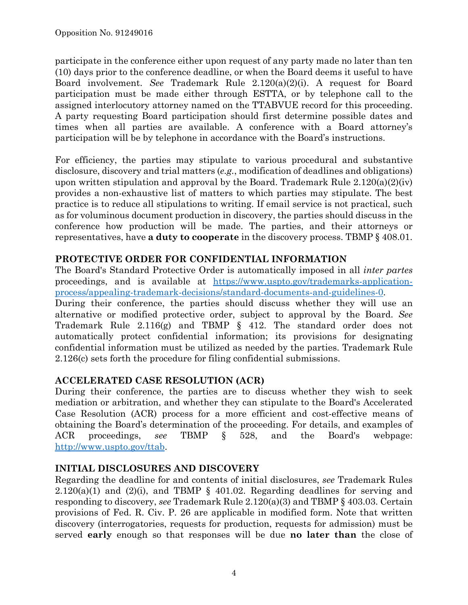participate in the conference either upon request of any party made no later than ten (10) days prior to the conference deadline, or when the Board deems it useful to have Board involvement. *See* Trademark Rule 2.120(a)(2)(i). A request for Board participation must be made either through ESTTA, or by telephone call to the assigned interlocutory attorney named on the TTABVUE record for this proceeding. A party requesting Board participation should first determine possible dates and times when all parties are available. A conference with a Board attorney's participation will be by telephone in accordance with the Board's instructions.

For efficiency, the parties may stipulate to various procedural and substantive disclosure, discovery and trial matters (*e.g.*, modification of deadlines and obligations) upon written stipulation and approval by the Board. Trademark Rule  $2.120(a)(2)(iv)$ provides a non-exhaustive list of matters to which parties may stipulate. The best practice is to reduce all stipulations to writing. If email service is not practical, such as for voluminous document production in discovery, the parties should discuss in the conference how production will be made. The parties, and their attorneys or representatives, have **a duty to cooperate** in the discovery process. TBMP § 408.01.

## **PROTECTIVE ORDER FOR CONFIDENTIAL INFORMATION**

The Board's Standard Protective Order is automatically imposed in all *inter partes* proceedings, and is available at https://www.uspto.gov/trademarks-applicationprocess/appealing-trademark-decisions/standard-documents-and-guidelines-0.

During their conference, the parties should discuss whether they will use an alternative or modified protective order, subject to approval by the Board. *See* Trademark Rule 2.116(g) and TBMP § 412. The standard order does not automatically protect confidential information; its provisions for designating confidential information must be utilized as needed by the parties. Trademark Rule 2.126(c) sets forth the procedure for filing confidential submissions.

## **ACCELERATED CASE RESOLUTION (ACR)**

During their conference, the parties are to discuss whether they wish to seek mediation or arbitration, and whether they can stipulate to the Board's Accelerated Case Resolution (ACR) process for a more efficient and cost-effective means of obtaining the Board's determination of the proceeding. For details, and examples of ACR proceedings, *see* TBMP § 528, and the Board's webpage: http://www.uspto.gov/ttab.

## **INITIAL DISCLOSURES AND DISCOVERY**

Regarding the deadline for and contents of initial disclosures, *see* Trademark Rules  $2.120(a)(1)$  and  $(2)(i)$ , and TBMP § 401.02. Regarding deadlines for serving and responding to discovery, *see* Trademark Rule 2.120(a)(3) and TBMP § 403.03. Certain provisions of Fed. R. Civ. P. 26 are applicable in modified form. Note that written discovery (interrogatories, requests for production, requests for admission) must be served **early** enough so that responses will be due **no later than** the close of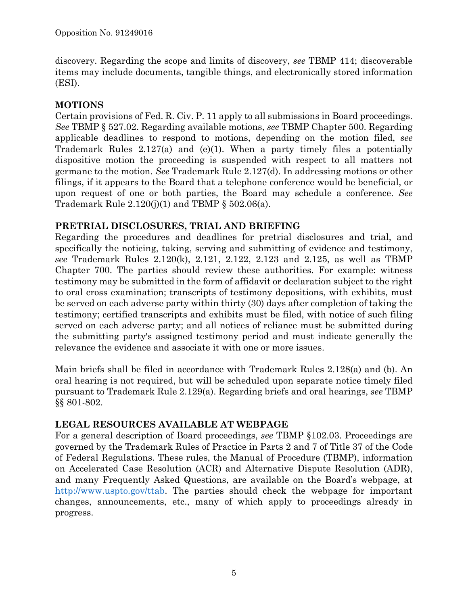discovery. Regarding the scope and limits of discovery, *see* TBMP 414; discoverable items may include documents, tangible things, and electronically stored information (ESI).

# **MOTIONS**

Certain provisions of Fed. R. Civ. P. 11 apply to all submissions in Board proceedings. *See* TBMP § 527.02. Regarding available motions, *see* TBMP Chapter 500. Regarding applicable deadlines to respond to motions, depending on the motion filed, *see* Trademark Rules 2.127(a) and (e)(1). When a party timely files a potentially dispositive motion the proceeding is suspended with respect to all matters not germane to the motion. *See* Trademark Rule 2.127(d). In addressing motions or other filings, if it appears to the Board that a telephone conference would be beneficial, or upon request of one or both parties, the Board may schedule a conference. *See* Trademark Rule  $2.120(j)(1)$  and TBMP § 502.06(a).

# **PRETRIAL DISCLOSURES, TRIAL AND BRIEFING**

Regarding the procedures and deadlines for pretrial disclosures and trial, and specifically the noticing, taking, serving and submitting of evidence and testimony, *see* Trademark Rules 2.120(k), 2.121, 2.122, 2.123 and 2.125, as well as TBMP Chapter 700. The parties should review these authorities. For example: witness testimony may be submitted in the form of affidavit or declaration subject to the right to oral cross examination; transcripts of testimony depositions, with exhibits, must be served on each adverse party within thirty (30) days after completion of taking the testimony; certified transcripts and exhibits must be filed, with notice of such filing served on each adverse party; and all notices of reliance must be submitted during the submitting party's assigned testimony period and must indicate generally the relevance the evidence and associate it with one or more issues.

Main briefs shall be filed in accordance with Trademark Rules 2.128(a) and (b). An oral hearing is not required, but will be scheduled upon separate notice timely filed pursuant to Trademark Rule 2.129(a). Regarding briefs and oral hearings, *see* TBMP §§ 801-802.

## **LEGAL RESOURCES AVAILABLE AT WEBPAGE**

For a general description of Board proceedings, *see* TBMP §102.03. Proceedings are governed by the Trademark Rules of Practice in Parts 2 and 7 of Title 37 of the Code of Federal Regulations. These rules, the Manual of Procedure (TBMP), information on Accelerated Case Resolution (ACR) and Alternative Dispute Resolution (ADR), and many Frequently Asked Questions, are available on the Board's webpage, at http://www.uspto.gov/ttab. The parties should check the webpage for important changes, announcements, etc., many of which apply to proceedings already in progress.